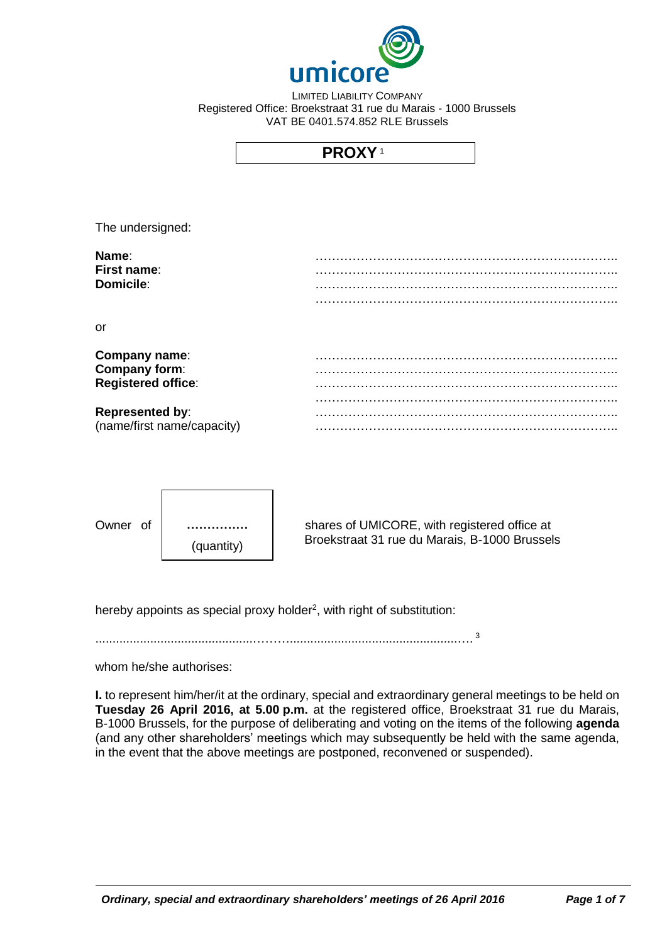

LIMITED LIABILITY COMPANY Registered Office: Broekstraat 31 rue du Marais - 1000 Brussels VAT BE 0401.574.852 RLE Brussels

# **PROXY** <sup>1</sup>

The undersigned:

| Name:            |  |
|------------------|--|
| First name:      |  |
| <b>Domicile:</b> |  |
|                  |  |

or

| Company name:              |  |
|----------------------------|--|
| Company form:              |  |
| <b>Registered office:</b>  |  |
|                            |  |
| <b>Represented by:</b>     |  |
| (name/first name/capacity) |  |



Owner of | ............... | shares of UMICORE, with registered office at Broekstraat 31 rue du Marais, B-1000 Brussels

hereby appoints as special proxy holder<sup>2</sup>, with right of substitution:

..............................................……….................................................…. 3

whom he/she authorises:

**I.** to represent him/her/it at the ordinary, special and extraordinary general meetings to be held on **Tuesday 26 April 2016, at 5.00 p.m.** at the registered office, Broekstraat 31 rue du Marais, B-1000 Brussels, for the purpose of deliberating and voting on the items of the following **agenda** (and any other shareholders' meetings which may subsequently be held with the same agenda, in the event that the above meetings are postponed, reconvened or suspended).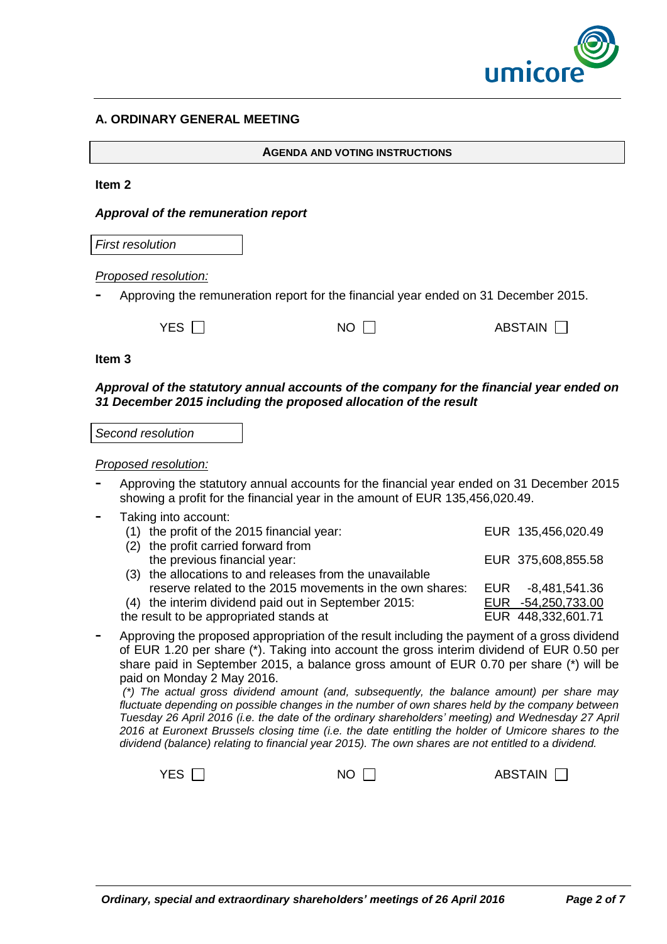

# **A. ORDINARY GENERAL MEETING**

**AGENDA AND VOTING INSTRUCTIONS**

#### **Item 2**

#### *Approval of the remuneration report*

*First resolution*

#### *Proposed resolution:*

**-** Approving the remuneration report for the financial year ended on 31 December 2015.

| YES $\Gamma$<br>$NO \Gamma$ | ABSTAIN □ |
|-----------------------------|-----------|
|-----------------------------|-----------|

#### **Item 3**

*Approval of the statutory annual accounts of the company for the financial year ended on 31 December 2015 including the proposed allocation of the result*

*Second resolution*

#### *Proposed resolution:*

- **-** Approving the statutory annual accounts for the financial year ended on 31 December 2015 showing a profit for the financial year in the amount of EUR 135,456,020.49.
- **-** Taking into account:

| (1) the profit of the 2015 financial year:               | EUR 135,456,020.49 |
|----------------------------------------------------------|--------------------|
| (2) the profit carried forward from                      |                    |
| the previous financial year:                             | EUR 375,608,855.58 |
| (3) the allocations to and releases from the unavailable |                    |
| reserve related to the 2015 movements in the own shares: | EUR -8,481,541.36  |
| (4) the interim dividend paid out in September 2015:     | EUR -54,250,733.00 |
| the result to be appropriated stands at                  | EUR 448,332,601.71 |
|                                                          |                    |

**-** Approving the proposed appropriation of the result including the payment of a gross dividend of EUR 1.20 per share (\*). Taking into account the gross interim dividend of EUR 0.50 per share paid in September 2015, a balance gross amount of EUR 0.70 per share (\*) will be paid on Monday 2 May 2016.

*(\*) The actual gross dividend amount (and, subsequently, the balance amount) per share may fluctuate depending on possible changes in the number of own shares held by the company between Tuesday 26 April 2016 (i.e. the date of the ordinary shareholders' meeting) and Wednesday 27 April 2016 at Euronext Brussels closing time (i.e. the date entitling the holder of Umicore shares to the dividend (balance) relating to financial year 2015). The own shares are not entitled to a dividend.*

| YES $\Box$<br><b>NO</b> | <b>ABSTAIN</b> |
|-------------------------|----------------|
|-------------------------|----------------|

П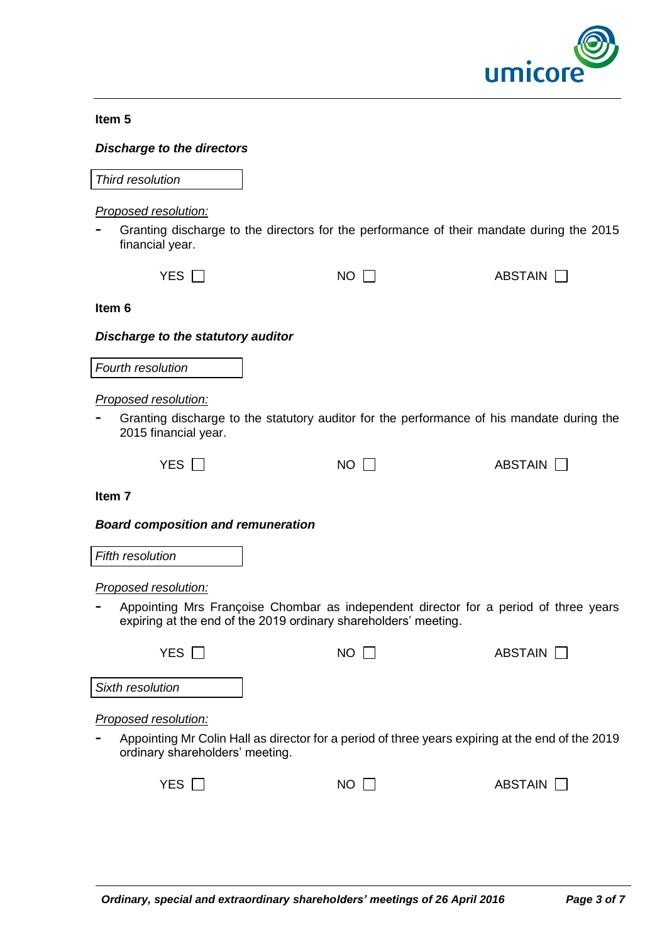

#### **Item 5**

### *Discharge to the directors*

*Third resolution*

#### *Proposed resolution:*

**-** Granting discharge to the directors for the performance of their mandate during the 2015 financial year.

| YES $\Box$ | <b>NO</b> |  |
|------------|-----------|--|

**Item 6**

#### *Discharge to the statutory auditor*

*Fourth resolution*

#### *Proposed resolution:*

**-** Granting discharge to the statutory auditor for the performance of his mandate during the 2015 financial year.

 $NO$   $\Box$  ABSTAIN  $\Box$ 

ABSTAIN  $\Box$ 

**Item 7**

#### *Board composition and remuneration*

*Fifth resolution*

*Proposed resolution:*

**-** Appointing Mrs Françoise Chombar as independent director for a period of three years expiring at the end of the 2019 ordinary shareholders' meeting.

| YES.                                  | NO. | ABSTAIN <b>N</b>                                                                                 |
|---------------------------------------|-----|--------------------------------------------------------------------------------------------------|
| Sixth resolution                      |     |                                                                                                  |
| Proposed resolution:                  |     |                                                                                                  |
| Ξ.<br>ordinary shareholders' meeting. |     | Appointing Mr Colin Hall as director for a period of three years expiring at the end of the 2019 |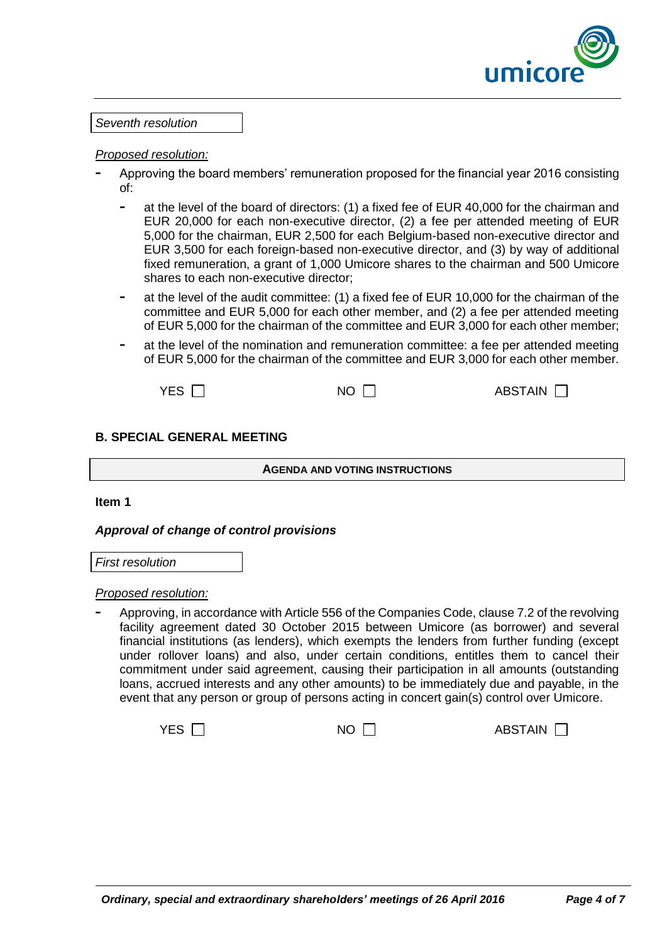

#### *Proposed resolution:*

- **-** Approving the board members' remuneration proposed for the financial year 2016 consisting of:
	- **-** at the level of the board of directors: (1) a fixed fee of EUR 40,000 for the chairman and EUR 20,000 for each non-executive director, (2) a fee per attended meeting of EUR 5,000 for the chairman, EUR 2,500 for each Belgium-based non-executive director and EUR 3,500 for each foreign-based non-executive director, and (3) by way of additional fixed remuneration, a grant of 1,000 Umicore shares to the chairman and 500 Umicore shares to each non-executive director;
	- **-** at the level of the audit committee: (1) a fixed fee of EUR 10,000 for the chairman of the committee and EUR 5,000 for each other member, and (2) a fee per attended meeting of EUR 5,000 for the chairman of the committee and EUR 3,000 for each other member;
	- **-** at the level of the nomination and remuneration committee: a fee per attended meeting of EUR 5,000 for the chairman of the committee and EUR 3,000 for each other member.

 $YES \t{1}$  NO  $\t{1}$  ABSTAIN  $\t{1}$ 

# **B. SPECIAL GENERAL MEETING**

**AGENDA AND VOTING INSTRUCTIONS**

**Item 1**

# *Approval of change of control provisions*

*First resolution*

*Proposed resolution:*

**-** Approving, in accordance with Article 556 of the Companies Code, clause 7.2 of the revolving facility agreement dated 30 October 2015 between Umicore (as borrower) and several financial institutions (as lenders), which exempts the lenders from further funding (except under rollover loans) and also, under certain conditions, entitles them to cancel their commitment under said agreement, causing their participation in all amounts (outstanding loans, accrued interests and any other amounts) to be immediately due and payable, in the event that any person or group of persons acting in concert gain(s) control over Umicore.

 $YES \t{1}$  NO  $\t{1}$  ABSTAIN  $\t{1}$ 

*Ordinary, special and extraordinary shareholders' meetings of 26 April 2016 Page 4 of 7*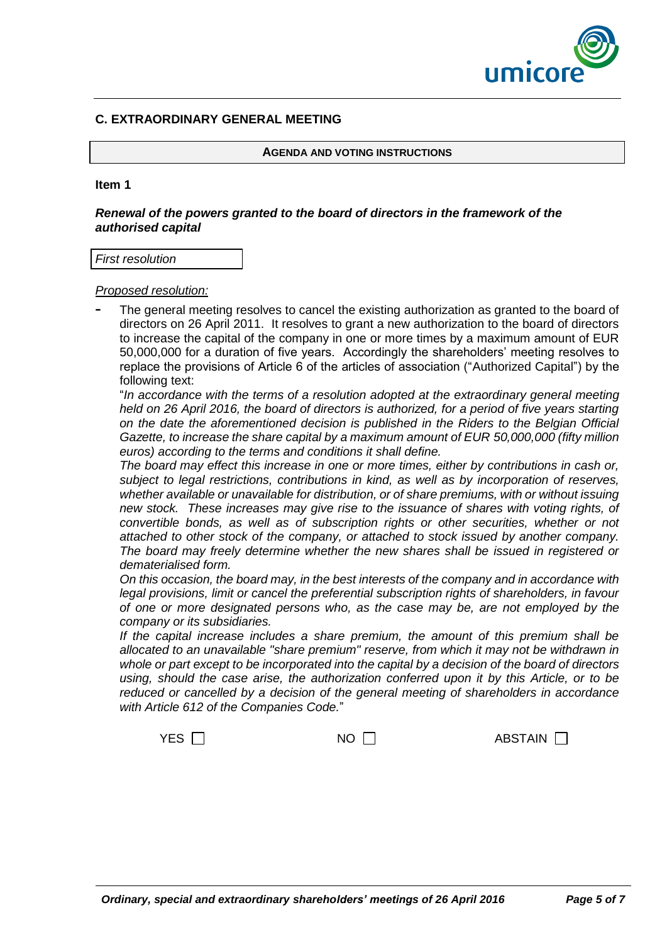

# **C. EXTRAORDINARY GENERAL MEETING**

**AGENDA AND VOTING INSTRUCTIONS**

#### **Item 1**

### *Renewal of the powers granted to the board of directors in the framework of the authorised capital*

#### *First resolution*

*Proposed resolution:* 

**-** The general meeting resolves to cancel the existing authorization as granted to the board of directors on 26 April 2011. It resolves to grant a new authorization to the board of directors to increase the capital of the company in one or more times by a maximum amount of EUR 50,000,000 for a duration of five years. Accordingly the shareholders' meeting resolves to replace the provisions of Article 6 of the articles of association ("Authorized Capital") by the following text:

"*In accordance with the terms of a resolution adopted at the extraordinary general meeting held on 26 April 2016, the board of directors is authorized, for a period of five years starting on the date the aforementioned decision is published in the Riders to the Belgian Official Gazette, to increase the share capital by a maximum amount of EUR 50,000,000 (fifty million euros) according to the terms and conditions it shall define.*

*The board may effect this increase in one or more times, either by contributions in cash or, subject to legal restrictions, contributions in kind, as well as by incorporation of reserves, whether available or unavailable for distribution, or of share premiums, with or without issuing new stock. These increases may give rise to the issuance of shares with voting rights, of convertible bonds, as well as of subscription rights or other securities, whether or not attached to other stock of the company, or attached to stock issued by another company. The board may freely determine whether the new shares shall be issued in registered or dematerialised form.*

*On this occasion, the board may, in the best interests of the company and in accordance with*  legal provisions, limit or cancel the preferential subscription rights of shareholders, in favour *of one or more designated persons who, as the case may be, are not employed by the company or its subsidiaries.*

*If the capital increase includes a share premium, the amount of this premium shall be allocated to an unavailable "share premium" reserve, from which it may not be withdrawn in whole or part except to be incorporated into the capital by a decision of the board of directors using, should the case arise, the authorization conferred upon it by this Article, or to be reduced or cancelled by a decision of the general meeting of shareholders in accordance with Article 612 of the Companies Code.*"

ABSTAIN  $\Box$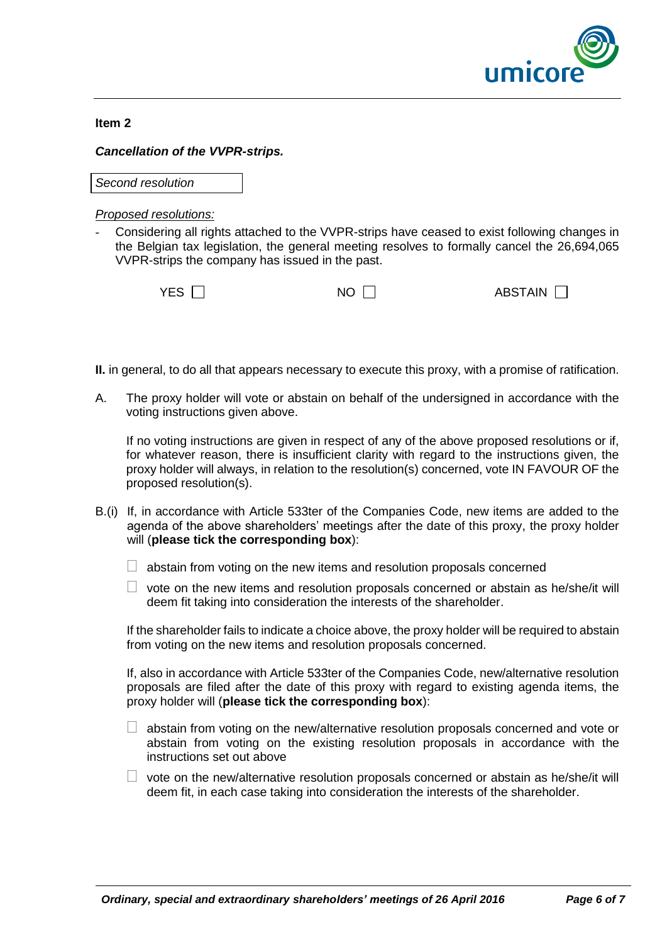

#### **Item 2**

# *Cancellation of the VVPR-strips.*

*Second resolution*

# *Proposed resolutions:*

Considering all rights attached to the VVPR-strips have ceased to exist following changes in the Belgian tax legislation, the general meeting resolves to formally cancel the 26,694,065 VVPR-strips the company has issued in the past.

| YES $\Box$ | $NO \Box$ | ABSTAIN $\Box$ |
|------------|-----------|----------------|
|            |           |                |

- **II.** in general, to do all that appears necessary to execute this proxy, with a promise of ratification.
- A. The proxy holder will vote or abstain on behalf of the undersigned in accordance with the voting instructions given above.

If no voting instructions are given in respect of any of the above proposed resolutions or if, for whatever reason, there is insufficient clarity with regard to the instructions given, the proxy holder will always, in relation to the resolution(s) concerned, vote IN FAVOUR OF the proposed resolution(s).

- B.(i) If, in accordance with Article 533ter of the Companies Code, new items are added to the agenda of the above shareholders' meetings after the date of this proxy, the proxy holder will (**please tick the corresponding box**):
	- $\Box$  abstain from voting on the new items and resolution proposals concerned
	- $\Box$  vote on the new items and resolution proposals concerned or abstain as he/she/it will deem fit taking into consideration the interests of the shareholder.

If the shareholder fails to indicate a choice above, the proxy holder will be required to abstain from voting on the new items and resolution proposals concerned.

If, also in accordance with Article 533ter of the Companies Code, new/alternative resolution proposals are filed after the date of this proxy with regard to existing agenda items, the proxy holder will (**please tick the corresponding box**):

- $\Box$  abstain from voting on the new/alternative resolution proposals concerned and vote or abstain from voting on the existing resolution proposals in accordance with the instructions set out above
- $\Box$  vote on the new/alternative resolution proposals concerned or abstain as he/she/it will deem fit, in each case taking into consideration the interests of the shareholder.